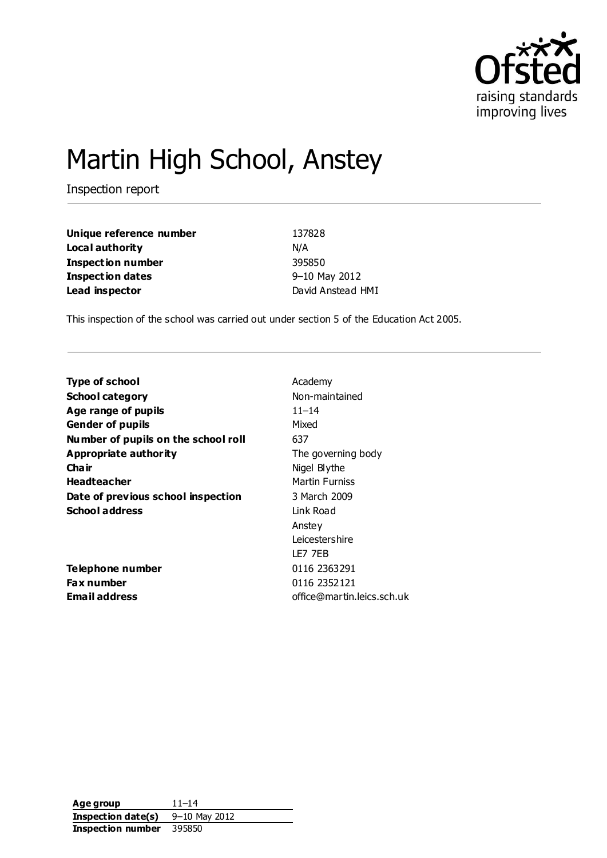

# Martin High School, Anstey

Inspection report

| Unique reference number  | 137828            |
|--------------------------|-------------------|
| Local authority          | N/A               |
| <b>Inspection number</b> | 395850            |
| <b>Inspection dates</b>  | 9-10 May 2012     |
| Lead inspector           | David Anstead HMI |

This inspection of the school was carried out under section 5 of the Education Act 2005.

| Type of school                      | Academy                    |
|-------------------------------------|----------------------------|
| <b>School category</b>              | Non-maintained             |
| Age range of pupils                 | $11 - 14$                  |
| <b>Gender of pupils</b>             | Mixed                      |
| Number of pupils on the school roll | 637                        |
| Appropriate authority               | The governing body         |
| Cha ir                              | Nigel Blythe               |
| <b>Headteacher</b>                  | <b>Martin Furniss</b>      |
| Date of previous school inspection  | 3 March 2009               |
| <b>School address</b>               | Link Road                  |
|                                     | Anstey                     |
|                                     | Leicestershire             |
|                                     | LE7 7EB                    |
| Telephone number                    | 0116 2363291               |
| Fax number                          | 0116 2352121               |
| Email address                       | office@martin.leics.sch.uk |
|                                     |                            |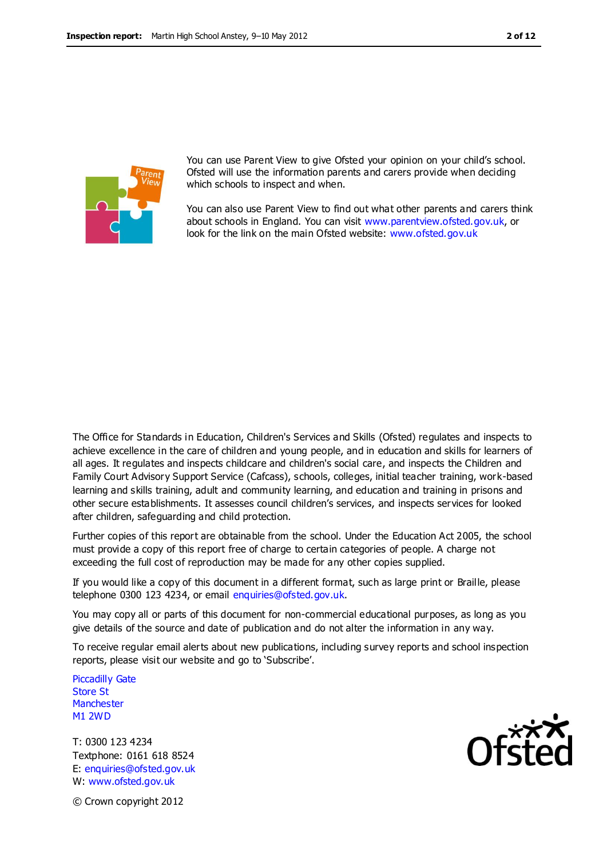

You can use Parent View to give Ofsted your opinion on your child's school. Ofsted will use the information parents and carers provide when deciding which schools to inspect and when.

You can also use Parent View to find out what other parents and carers think about schools in England. You can visit [www.parentview.ofsted.gov.uk,](http://www.parentview.ofsted.gov.uk/) or look for the link on the main Ofsted website: [www.ofsted.gov.uk](http://www.ofsted.gov.uk/)

The Office for Standards in Education, Children's Services and Skills (Ofsted) regulates and inspects to achieve excellence in the care of children and young people, and in education and skills for learners of all ages. It regulates and inspects childcare and children's social care, and inspects the Children and Family Court Advisory Support Service (Cafcass), schools, colleges, initial teacher training, work-based learning and skills training, adult and community learning, and education and training in prisons and other secure establishments. It assesses council children's services, and inspects services for looked after children, safeguarding and child protection.

Further copies of this report are obtainable from the school. Under the Education Act 2005, the school must provide a copy of this report free of charge to certain categories of people. A charge not exceeding the full cost of reproduction may be made for any other copies supplied.

If you would like a copy of this document in a different format, such as large print or Braille, please telephone 0300 123 4234, or email enquiries@ofsted.gov.uk.

You may copy all or parts of this document for non-commercial educational purposes, as long as you give details of the source and date of publication and do not alter the information in any way.

To receive regular email alerts about new publications, including survey reports and school inspection reports, please visit our website and go to 'Subscribe'.

Piccadilly Gate Store St **Manchester** M1 2WD

T: 0300 123 4234 Textphone: 0161 618 8524 E: enquiries@ofsted.gov.uk W: www.ofsted.gov.uk



© Crown copyright 2012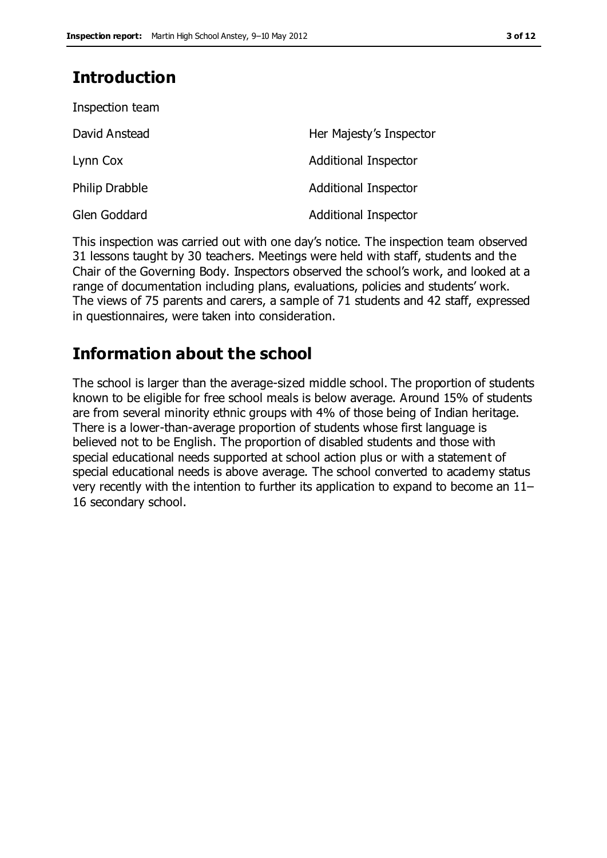# **Introduction**

| Inspection team       |                             |
|-----------------------|-----------------------------|
| David Anstead         | Her Majesty's Inspector     |
| Lynn Cox              | Additional Inspector        |
| <b>Philip Drabble</b> | <b>Additional Inspector</b> |
| Glen Goddard          | <b>Additional Inspector</b> |

This inspection was carried out with one day's notice. The inspection team observed 31 lessons taught by 30 teachers. Meetings were held with staff, students and the Chair of the Governing Body. Inspectors observed the school's work, and looked at a range of documentation including plans, evaluations, policies and students' work. The views of 75 parents and carers, a sample of 71 students and 42 staff, expressed in questionnaires, were taken into consideration.

# **Information about the school**

The school is larger than the average-sized middle school. The proportion of students known to be eligible for free school meals is below average. Around 15% of students are from several minority ethnic groups with 4% of those being of Indian heritage. There is a lower-than-average proportion of students whose first language is believed not to be English. The proportion of disabled students and those with special educational needs supported at school action plus or with a statement of special educational needs is above average. The school converted to academy status very recently with the intention to further its application to expand to become an 11– 16 secondary school.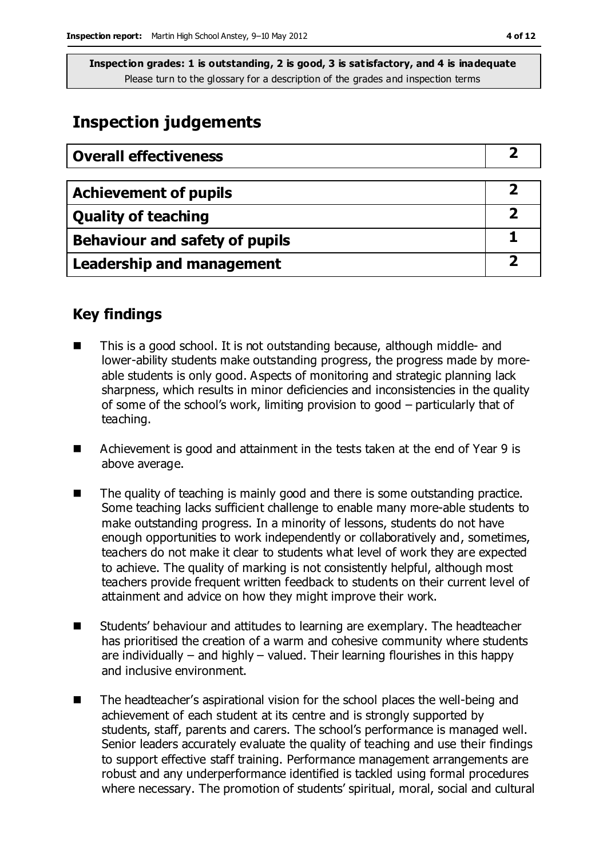# **Inspection judgements**

| <b>Overall effectiveness</b>     |  |
|----------------------------------|--|
|                                  |  |
| <b>Achievement of pupils</b>     |  |
| <b>Quality of teaching</b>       |  |
| Behaviour and safety of pupils   |  |
| <b>Leadership and management</b> |  |

# **Key findings**

- This is a good school. It is not outstanding because, although middle- and lower-ability students make outstanding progress, the progress made by moreable students is only good. Aspects of monitoring and strategic planning lack sharpness, which results in minor deficiencies and inconsistencies in the quality of some of the school's work, limiting provision to good – particularly that of teaching.
- Achievement is good and attainment in the tests taken at the end of Year 9 is above average.
- The quality of teaching is mainly good and there is some outstanding practice. Some teaching lacks sufficient challenge to enable many more-able students to make outstanding progress. In a minority of lessons, students do not have enough opportunities to work independently or collaboratively and, sometimes, teachers do not make it clear to students what level of work they are expected to achieve. The quality of marking is not consistently helpful, although most teachers provide frequent written feedback to students on their current level of attainment and advice on how they might improve their work.
- Students' behaviour and attitudes to learning are exemplary. The headteacher has prioritised the creation of a warm and cohesive community where students are individually – and highly – valued. Their learning flourishes in this happy and inclusive environment.
- The headteacher's aspirational vision for the school places the well-being and achievement of each student at its centre and is strongly supported by students, staff, parents and carers. The school's performance is managed well. Senior leaders accurately evaluate the quality of teaching and use their findings to support effective staff training. Performance management arrangements are robust and any underperformance identified is tackled using formal procedures where necessary. The promotion of students' spiritual, moral, social and cultural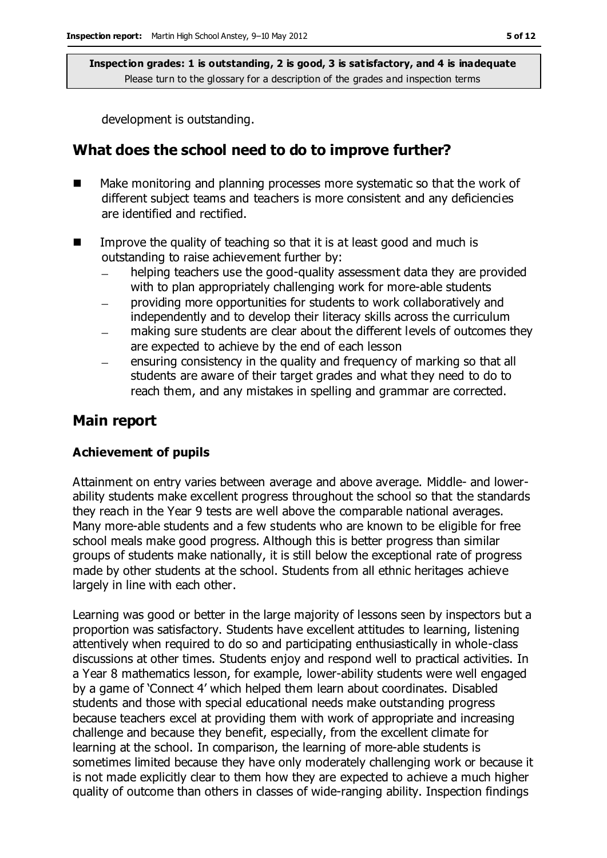development is outstanding.

# **What does the school need to do to improve further?**

- Make monitoring and planning processes more systematic so that the work of different subject teams and teachers is more consistent and any deficiencies are identified and rectified.
- Improve the quality of teaching so that it is at least good and much is outstanding to raise achievement further by:
	- helping teachers use the good-quality assessment data they are provided with to plan appropriately challenging work for more-able students
	- providing more opportunities for students to work collaboratively and independently and to develop their literacy skills across the curriculum
	- making sure students are clear about the different levels of outcomes they are expected to achieve by the end of each lesson
	- ensuring consistency in the quality and frequency of marking so that all  $\equiv$ students are aware of their target grades and what they need to do to reach them, and any mistakes in spelling and grammar are corrected.

### **Main report**

#### **Achievement of pupils**

Attainment on entry varies between average and above average. Middle- and lowerability students make excellent progress throughout the school so that the standards they reach in the Year 9 tests are well above the comparable national averages. Many more-able students and a few students who are known to be eligible for free school meals make good progress. Although this is better progress than similar groups of students make nationally, it is still below the exceptional rate of progress made by other students at the school. Students from all ethnic heritages achieve largely in line with each other.

Learning was good or better in the large majority of lessons seen by inspectors but a proportion was satisfactory. Students have excellent attitudes to learning, listening attentively when required to do so and participating enthusiastically in whole-class discussions at other times. Students enjoy and respond well to practical activities. In a Year 8 mathematics lesson, for example, lower-ability students were well engaged by a game of 'Connect 4' which helped them learn about coordinates. Disabled students and those with special educational needs make outstanding progress because teachers excel at providing them with work of appropriate and increasing challenge and because they benefit, especially, from the excellent climate for learning at the school. In comparison, the learning of more-able students is sometimes limited because they have only moderately challenging work or because it is not made explicitly clear to them how they are expected to achieve a much higher quality of outcome than others in classes of wide-ranging ability. Inspection findings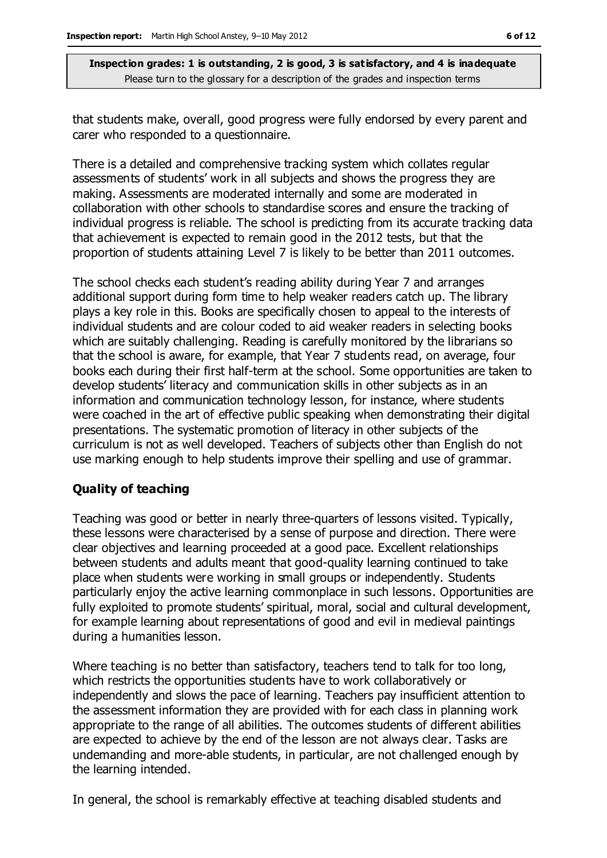that students make, overall, good progress were fully endorsed by every parent and carer who responded to a questionnaire.

There is a detailed and comprehensive tracking system which collates regular assessments of students' work in all subjects and shows the progress they are making. Assessments are moderated internally and some are moderated in collaboration with other schools to standardise scores and ensure the tracking of individual progress is reliable. The school is predicting from its accurate tracking data that achievement is expected to remain good in the 2012 tests, but that the proportion of students attaining Level 7 is likely to be better than 2011 outcomes.

The school checks each student's reading ability during Year 7 and arranges additional support during form time to help weaker readers catch up. The library plays a key role in this. Books are specifically chosen to appeal to the interests of individual students and are colour coded to aid weaker readers in selecting books which are suitably challenging. Reading is carefully monitored by the librarians so that the school is aware, for example, that Year 7 students read, on average, four books each during their first half-term at the school. Some opportunities are taken to develop students' literacy and communication skills in other subjects as in an information and communication technology lesson, for instance, where students were coached in the art of effective public speaking when demonstrating their digital presentations. The systematic promotion of literacy in other subjects of the curriculum is not as well developed. Teachers of subjects other than English do not use marking enough to help students improve their spelling and use of grammar.

#### **Quality of teaching**

Teaching was good or better in nearly three-quarters of lessons visited. Typically, these lessons were characterised by a sense of purpose and direction. There were clear objectives and learning proceeded at a good pace. Excellent relationships between students and adults meant that good-quality learning continued to take place when students were working in small groups or independently. Students particularly enjoy the active learning commonplace in such lessons. Opportunities are fully exploited to promote students' spiritual, moral, social and cultural development, for example learning about representations of good and evil in medieval paintings during a humanities lesson.

Where teaching is no better than satisfactory, teachers tend to talk for too long, which restricts the opportunities students have to work collaboratively or independently and slows the pace of learning. Teachers pay insufficient attention to the assessment information they are provided with for each class in planning work appropriate to the range of all abilities. The outcomes students of different abilities are expected to achieve by the end of the lesson are not always clear. Tasks are undemanding and more-able students, in particular, are not challenged enough by the learning intended.

In general, the school is remarkably effective at teaching disabled students and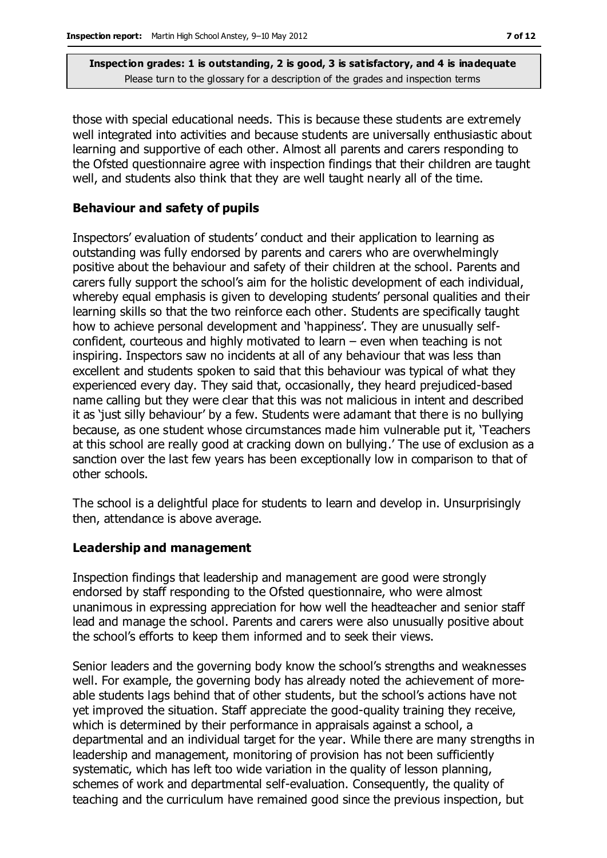those with special educational needs. This is because these students are extremely well integrated into activities and because students are universally enthusiastic about learning and supportive of each other. Almost all parents and carers responding to the Ofsted questionnaire agree with inspection findings that their children are taught well, and students also think that they are well taught nearly all of the time.

#### **Behaviour and safety of pupils**

Inspectors' evaluation of students' conduct and their application to learning as outstanding was fully endorsed by parents and carers who are overwhelmingly positive about the behaviour and safety of their children at the school. Parents and carers fully support the school's aim for the holistic development of each individual, whereby equal emphasis is given to developing students' personal qualities and their learning skills so that the two reinforce each other. Students are specifically taught how to achieve personal development and 'happiness'. They are unusually selfconfident, courteous and highly motivated to learn – even when teaching is not inspiring. Inspectors saw no incidents at all of any behaviour that was less than excellent and students spoken to said that this behaviour was typical of what they experienced every day. They said that, occasionally, they heard prejudiced-based name calling but they were clear that this was not malicious in intent and described it as 'just silly behaviour' by a few. Students were adamant that there is no bullying because, as one student whose circumstances made him vulnerable put it, 'Teachers at this school are really good at cracking down on bullying.' The use of exclusion as a sanction over the last few years has been exceptionally low in comparison to that of other schools.

The school is a delightful place for students to learn and develop in. Unsurprisingly then, attendance is above average.

#### **Leadership and management**

Inspection findings that leadership and management are good were strongly endorsed by staff responding to the Ofsted questionnaire, who were almost unanimous in expressing appreciation for how well the headteacher and senior staff lead and manage the school. Parents and carers were also unusually positive about the school's efforts to keep them informed and to seek their views.

Senior leaders and the governing body know the school's strengths and weaknesses well. For example, the governing body has already noted the achievement of moreable students lags behind that of other students, but the school's actions have not yet improved the situation. Staff appreciate the good-quality training they receive, which is determined by their performance in appraisals against a school, a departmental and an individual target for the year. While there are many strengths in leadership and management, monitoring of provision has not been sufficiently systematic, which has left too wide variation in the quality of lesson planning, schemes of work and departmental self-evaluation. Consequently, the quality of teaching and the curriculum have remained good since the previous inspection, but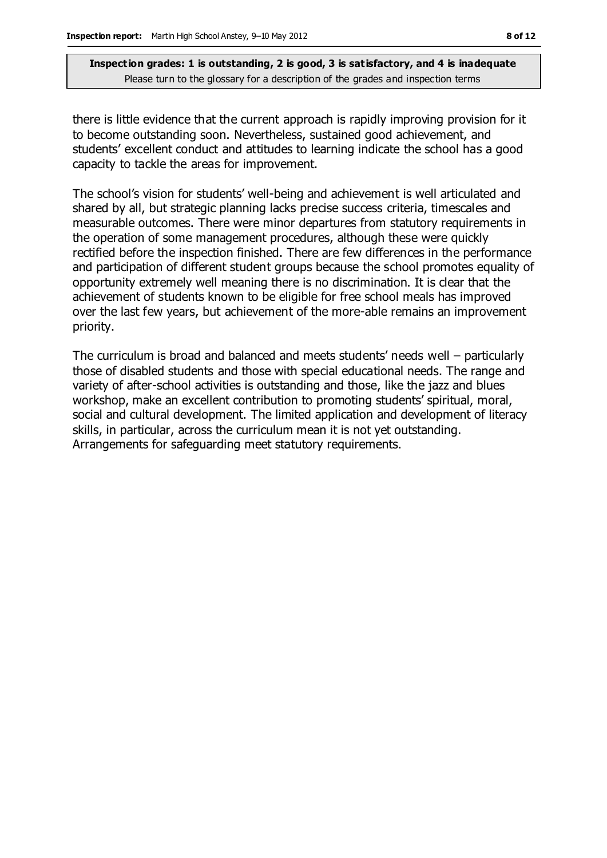there is little evidence that the current approach is rapidly improving provision for it to become outstanding soon. Nevertheless, sustained good achievement, and students' excellent conduct and attitudes to learning indicate the school has a good capacity to tackle the areas for improvement.

The school's vision for students' well-being and achievement is well articulated and shared by all, but strategic planning lacks precise success criteria, timescales and measurable outcomes. There were minor departures from statutory requirements in the operation of some management procedures, although these were quickly rectified before the inspection finished. There are few differences in the performance and participation of different student groups because the school promotes equality of opportunity extremely well meaning there is no discrimination. It is clear that the achievement of students known to be eligible for free school meals has improved over the last few years, but achievement of the more-able remains an improvement priority.

The curriculum is broad and balanced and meets students' needs well – particularly those of disabled students and those with special educational needs. The range and variety of after-school activities is outstanding and those, like the jazz and blues workshop, make an excellent contribution to promoting students' spiritual, moral, social and cultural development. The limited application and development of literacy skills, in particular, across the curriculum mean it is not yet outstanding. Arrangements for safeguarding meet statutory requirements.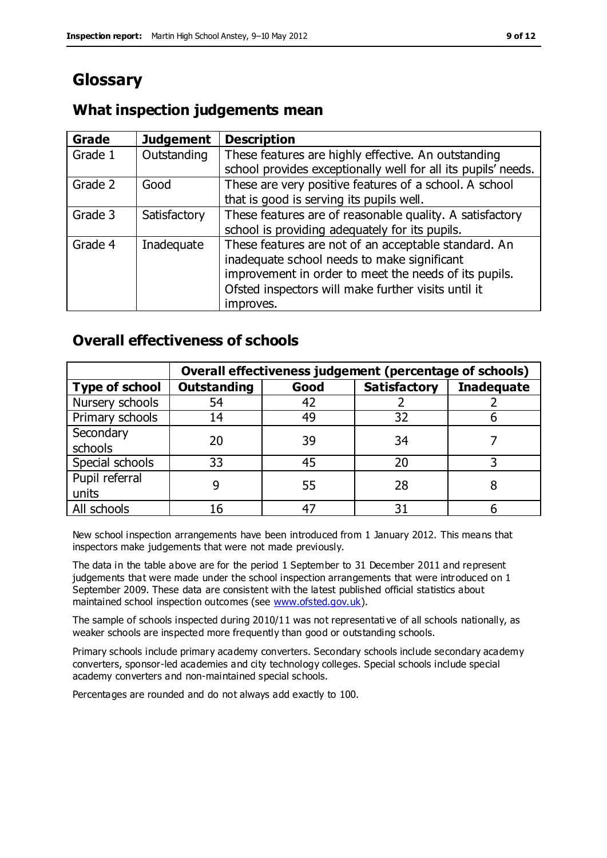# **Glossary**

#### **Grade Judgement Description** Grade  $1$  | Outstanding | These features are highly effective. An outstanding school provides exceptionally well for all its pupils' needs. Grade 2 Good These are very positive features of a school. A school that is good is serving its pupils well. Grade 3  $\parallel$  Satisfactory  $\parallel$  These features are of reasonable quality. A satisfactory school is providing adequately for its pupils. Grade 4  $\parallel$  Inadequate  $\parallel$  These features are not of an acceptable standard. An inadequate school needs to make significant improvement in order to meet the needs of its pupils. Ofsted inspectors will make further visits until it improves.

# **What inspection judgements mean**

# **Overall effectiveness of schools**

|                       | Overall effectiveness judgement (percentage of schools) |      |                     |                   |
|-----------------------|---------------------------------------------------------|------|---------------------|-------------------|
| <b>Type of school</b> | <b>Outstanding</b>                                      | Good | <b>Satisfactory</b> | <b>Inadequate</b> |
| Nursery schools       | 54                                                      | 42   |                     |                   |
| Primary schools       | 14                                                      | 49   | 32                  |                   |
| Secondary             | 20                                                      | 39   | 34                  |                   |
| schools               |                                                         |      |                     |                   |
| Special schools       | 33                                                      | 45   | 20                  |                   |
| Pupil referral        |                                                         | 55   | 28                  |                   |
| units                 |                                                         |      |                     |                   |
| All schools           |                                                         |      | 3٠                  |                   |

New school inspection arrangements have been introduced from 1 January 2012. This means that inspectors make judgements that were not made previously.

The data in the table above are for the period 1 September to 31 December 2011 and represent judgements that were made under the school inspection arrangements that were introduced on 1 September 2009. These data are consistent with the latest published official statistics about maintained school inspection outcomes (see [www.ofsted.gov.uk\)](http://www.ofsted.gov.uk/).

The sample of schools inspected during 2010/11 was not representati ve of all schools nationally, as weaker schools are inspected more frequently than good or outstanding schools.

Primary schools include primary academy converters. Secondary schools include secondary academy converters, sponsor-led academies and city technology colleges. Special schools include special academy converters and non-maintained special schools.

Percentages are rounded and do not always add exactly to 100.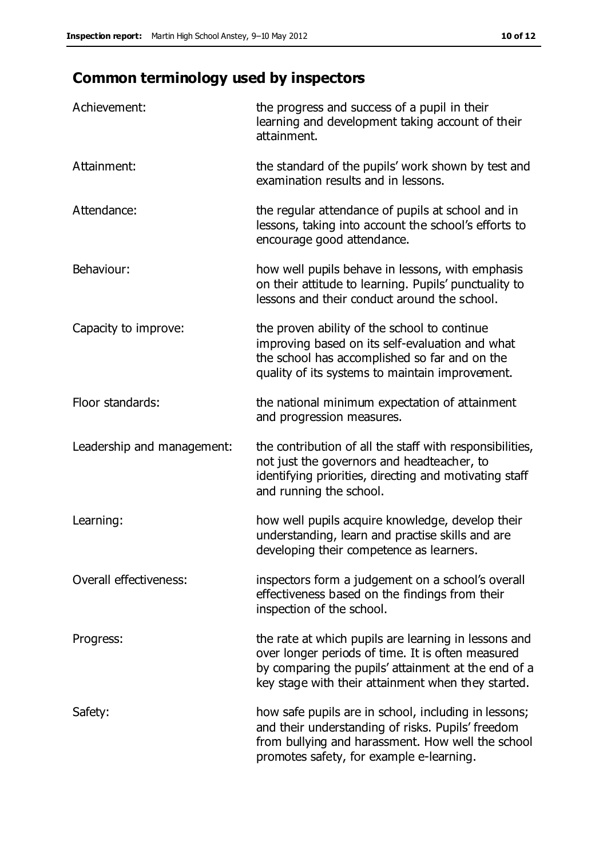# **Common terminology used by inspectors**

| Achievement:                  | the progress and success of a pupil in their<br>learning and development taking account of their<br>attainment.                                                                                                        |
|-------------------------------|------------------------------------------------------------------------------------------------------------------------------------------------------------------------------------------------------------------------|
| Attainment:                   | the standard of the pupils' work shown by test and<br>examination results and in lessons.                                                                                                                              |
| Attendance:                   | the regular attendance of pupils at school and in<br>lessons, taking into account the school's efforts to<br>encourage good attendance.                                                                                |
| Behaviour:                    | how well pupils behave in lessons, with emphasis<br>on their attitude to learning. Pupils' punctuality to<br>lessons and their conduct around the school.                                                              |
| Capacity to improve:          | the proven ability of the school to continue<br>improving based on its self-evaluation and what<br>the school has accomplished so far and on the<br>quality of its systems to maintain improvement.                    |
| Floor standards:              | the national minimum expectation of attainment<br>and progression measures.                                                                                                                                            |
| Leadership and management:    | the contribution of all the staff with responsibilities,<br>not just the governors and headteacher, to<br>identifying priorities, directing and motivating staff<br>and running the school.                            |
| Learning:                     | how well pupils acquire knowledge, develop their<br>understanding, learn and practise skills and are<br>developing their competence as learners.                                                                       |
| <b>Overall effectiveness:</b> | inspectors form a judgement on a school's overall<br>effectiveness based on the findings from their<br>inspection of the school.                                                                                       |
| Progress:                     | the rate at which pupils are learning in lessons and<br>over longer periods of time. It is often measured<br>by comparing the pupils' attainment at the end of a<br>key stage with their attainment when they started. |
| Safety:                       | how safe pupils are in school, including in lessons;<br>and their understanding of risks. Pupils' freedom<br>from bullying and harassment. How well the school<br>promotes safety, for example e-learning.             |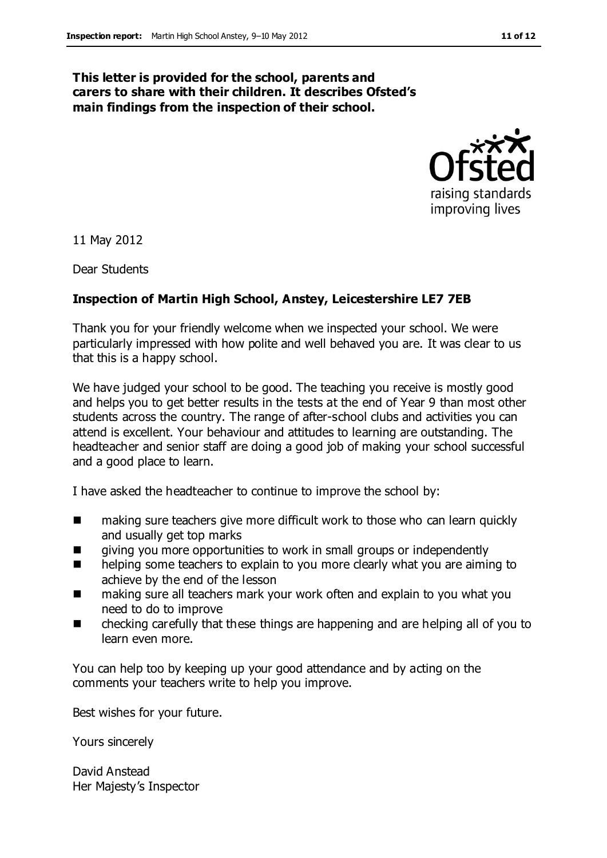#### **This letter is provided for the school, parents and carers to share with their children. It describes Ofsted's main findings from the inspection of their school.**



11 May 2012

Dear Students

#### **Inspection of Martin High School, Anstey, Leicestershire LE7 7EB**

Thank you for your friendly welcome when we inspected your school. We were particularly impressed with how polite and well behaved you are. It was clear to us that this is a happy school.

We have judged your school to be good. The teaching you receive is mostly good and helps you to get better results in the tests at the end of Year 9 than most other students across the country. The range of after-school clubs and activities you can attend is excellent. Your behaviour and attitudes to learning are outstanding. The headteacher and senior staff are doing a good job of making your school successful and a good place to learn.

I have asked the headteacher to continue to improve the school by:

- making sure teachers give more difficult work to those who can learn quickly and usually get top marks
- **EXTERG** giving you more opportunities to work in small groups or independently
- **helping some teachers to explain to you more clearly what you are aiming to** achieve by the end of the lesson
- making sure all teachers mark your work often and explain to you what you need to do to improve
- checking carefully that these things are happening and are helping all of you to learn even more.

You can help too by keeping up your good attendance and by acting on the comments your teachers write to help you improve.

Best wishes for your future.

Yours sincerely

David Anstead Her Majesty's Inspector